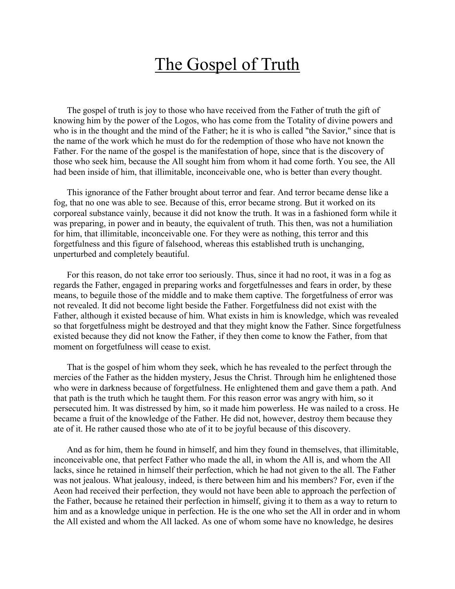## The Gospel of Truth

The gospel of truth is joy to those who have received from the Father of truth the gift of knowing him by the power of the Logos, who has come from the Totality of divine powers and who is in the thought and the mind of the Father; he it is who is called "the Savior," since that is the name of the work which he must do for the redemption of those who have not known the Father. For the name of the gospel is the manifestation of hope, since that is the discovery of those who seek him, because the All sought him from whom it had come forth. You see, the All had been inside of him, that illimitable, inconceivable one, who is better than every thought.

This ignorance of the Father brought about terror and fear. And terror became dense like a fog, that no one was able to see. Because of this, error became strong. But it worked on its corporeal substance vainly, because it did not know the truth. It was in a fashioned form while it was preparing, in power and in beauty, the equivalent of truth. This then, was not a humiliation for him, that illimitable, inconceivable one. For they were as nothing, this terror and this forgetfulness and this figure of falsehood, whereas this established truth is unchanging, unperturbed and completely beautiful.

For this reason, do not take error too seriously. Thus, since it had no root, it was in a fog as regards the Father, engaged in preparing works and forgetfulnesses and fears in order, by these means, to beguile those of the middle and to make them captive. The forgetfulness of error was not revealed. It did not become light beside the Father. Forgetfulness did not exist with the Father, although it existed because of him. What exists in him is knowledge, which was revealed so that forgetfulness might be destroyed and that they might know the Father. Since forgetfulness existed because they did not know the Father, if they then come to know the Father, from that moment on forgetfulness will cease to exist.

That is the gospel of him whom they seek, which he has revealed to the perfect through the mercies of the Father as the hidden mystery, Jesus the Christ. Through him he enlightened those who were in darkness because of forgetfulness. He enlightened them and gave them a path. And that path is the truth which he taught them. For this reason error was angry with him, so it persecuted him. It was distressed by him, so it made him powerless. He was nailed to a cross. He became a fruit of the knowledge of the Father. He did not, however, destroy them because they ate of it. He rather caused those who ate of it to be joyful because of this discovery.

And as for him, them he found in himself, and him they found in themselves, that illimitable, inconceivable one, that perfect Father who made the all, in whom the All is, and whom the All lacks, since he retained in himself their perfection, which he had not given to the all. The Father was not jealous. What jealousy, indeed, is there between him and his members? For, even if the Aeon had received their perfection, they would not have been able to approach the perfection of the Father, because he retained their perfection in himself, giving it to them as a way to return to him and as a knowledge unique in perfection. He is the one who set the All in order and in whom the All existed and whom the All lacked. As one of whom some have no knowledge, he desires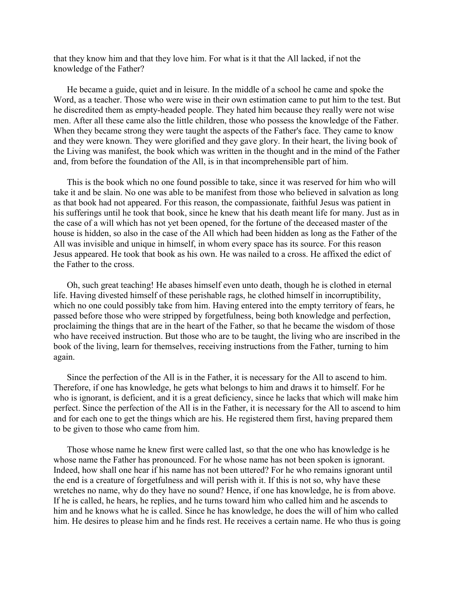that they know him and that they love him. For what is it that the All lacked, if not the knowledge of the Father?

He became a guide, quiet and in leisure. In the middle of a school he came and spoke the Word, as a teacher. Those who were wise in their own estimation came to put him to the test. But he discredited them as empty-headed people. They hated him because they really were not wise men. After all these came also the little children, those who possess the knowledge of the Father. When they became strong they were taught the aspects of the Father's face. They came to know and they were known. They were glorified and they gave glory. In their heart, the living book of the Living was manifest, the book which was written in the thought and in the mind of the Father and, from before the foundation of the All, is in that incomprehensible part of him.

This is the book which no one found possible to take, since it was reserved for him who will take it and be slain. No one was able to be manifest from those who believed in salvation as long as that book had not appeared. For this reason, the compassionate, faithful Jesus was patient in his sufferings until he took that book, since he knew that his death meant life for many. Just as in the case of a will which has not yet been opened, for the fortune of the deceased master of the house is hidden, so also in the case of the All which had been hidden as long as the Father of the All was invisible and unique in himself, in whom every space has its source. For this reason Jesus appeared. He took that book as his own. He was nailed to a cross. He affixed the edict of the Father to the cross.

Oh, such great teaching! He abases himself even unto death, though he is clothed in eternal life. Having divested himself of these perishable rags, he clothed himself in incorruptibility, which no one could possibly take from him. Having entered into the empty territory of fears, he passed before those who were stripped by forgetfulness, being both knowledge and perfection, proclaiming the things that are in the heart of the Father, so that he became the wisdom of those who have received instruction. But those who are to be taught, the living who are inscribed in the book of the living, learn for themselves, receiving instructions from the Father, turning to him again.

Since the perfection of the All is in the Father, it is necessary for the All to ascend to him. Therefore, if one has knowledge, he gets what belongs to him and draws it to himself. For he who is ignorant, is deficient, and it is a great deficiency, since he lacks that which will make him perfect. Since the perfection of the All is in the Father, it is necessary for the All to ascend to him and for each one to get the things which are his. He registered them first, having prepared them to be given to those who came from him.

Those whose name he knew first were called last, so that the one who has knowledge is he whose name the Father has pronounced. For he whose name has not been spoken is ignorant. Indeed, how shall one hear if his name has not been uttered? For he who remains ignorant until the end is a creature of forgetfulness and will perish with it. If this is not so, why have these wretches no name, why do they have no sound? Hence, if one has knowledge, he is from above. If he is called, he hears, he replies, and he turns toward him who called him and he ascends to him and he knows what he is called. Since he has knowledge, he does the will of him who called him. He desires to please him and he finds rest. He receives a certain name. He who thus is going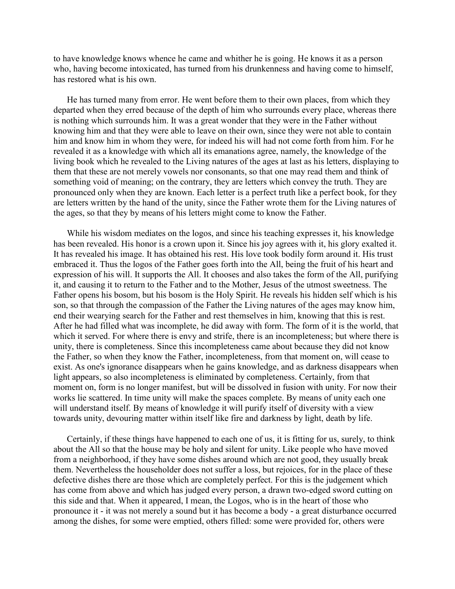to have knowledge knows whence he came and whither he is going. He knows it as a person who, having become intoxicated, has turned from his drunkenness and having come to himself, has restored what is his own.

He has turned many from error. He went before them to their own places, from which they departed when they erred because of the depth of him who surrounds every place, whereas there is nothing which surrounds him. It was a great wonder that they were in the Father without knowing him and that they were able to leave on their own, since they were not able to contain him and know him in whom they were, for indeed his will had not come forth from him. For he revealed it as a knowledge with which all its emanations agree, namely, the knowledge of the living book which he revealed to the Living natures of the ages at last as his letters, displaying to them that these are not merely vowels nor consonants, so that one may read them and think of something void of meaning; on the contrary, they are letters which convey the truth. They are pronounced only when they are known. Each letter is a perfect truth like a perfect book, for they are letters written by the hand of the unity, since the Father wrote them for the Living natures of the ages, so that they by means of his letters might come to know the Father.

While his wisdom mediates on the logos, and since his teaching expresses it, his knowledge has been revealed. His honor is a crown upon it. Since his joy agrees with it, his glory exalted it. It has revealed his image. It has obtained his rest. His love took bodily form around it. His trust embraced it. Thus the logos of the Father goes forth into the All, being the fruit of his heart and expression of his will. It supports the All. It chooses and also takes the form of the All, purifying it, and causing it to return to the Father and to the Mother, Jesus of the utmost sweetness. The Father opens his bosom, but his bosom is the Holy Spirit. He reveals his hidden self which is his son, so that through the compassion of the Father the Living natures of the ages may know him, end their wearying search for the Father and rest themselves in him, knowing that this is rest. After he had filled what was incomplete, he did away with form. The form of it is the world, that which it served. For where there is envy and strife, there is an incompleteness; but where there is unity, there is completeness. Since this incompleteness came about because they did not know the Father, so when they know the Father, incompleteness, from that moment on, will cease to exist. As one's ignorance disappears when he gains knowledge, and as darkness disappears when light appears, so also incompleteness is eliminated by completeness. Certainly, from that moment on, form is no longer manifest, but will be dissolved in fusion with unity. For now their works lie scattered. In time unity will make the spaces complete. By means of unity each one will understand itself. By means of knowledge it will purify itself of diversity with a view towards unity, devouring matter within itself like fire and darkness by light, death by life.

Certainly, if these things have happened to each one of us, it is fitting for us, surely, to think about the All so that the house may be holy and silent for unity. Like people who have moved from a neighborhood, if they have some dishes around which are not good, they usually break them. Nevertheless the householder does not suffer a loss, but rejoices, for in the place of these defective dishes there are those which are completely perfect. For this is the judgement which has come from above and which has judged every person, a drawn two-edged sword cutting on this side and that. When it appeared, I mean, the Logos, who is in the heart of those who pronounce it - it was not merely a sound but it has become a body - a great disturbance occurred among the dishes, for some were emptied, others filled: some were provided for, others were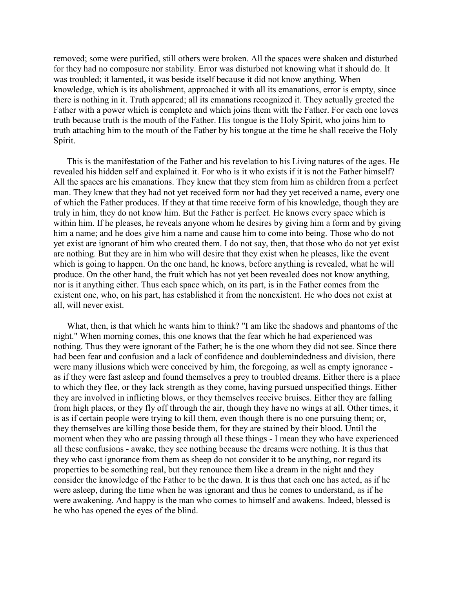removed; some were purified, still others were broken. All the spaces were shaken and disturbed for they had no composure nor stability. Error was disturbed not knowing what it should do. It was troubled; it lamented, it was beside itself because it did not know anything. When knowledge, which is its abolishment, approached it with all its emanations, error is empty, since there is nothing in it. Truth appeared; all its emanations recognized it. They actually greeted the Father with a power which is complete and which joins them with the Father. For each one loves truth because truth is the mouth of the Father. His tongue is the Holy Spirit, who joins him to truth attaching him to the mouth of the Father by his tongue at the time he shall receive the Holy Spirit.

This is the manifestation of the Father and his revelation to his Living natures of the ages. He revealed his hidden self and explained it. For who is it who exists if it is not the Father himself? All the spaces are his emanations. They knew that they stem from him as children from a perfect man. They knew that they had not yet received form nor had they yet received a name, every one of which the Father produces. If they at that time receive form of his knowledge, though they are truly in him, they do not know him. But the Father is perfect. He knows every space which is within him. If he pleases, he reveals anyone whom he desires by giving him a form and by giving him a name; and he does give him a name and cause him to come into being. Those who do not yet exist are ignorant of him who created them. I do not say, then, that those who do not yet exist are nothing. But they are in him who will desire that they exist when he pleases, like the event which is going to happen. On the one hand, he knows, before anything is revealed, what he will produce. On the other hand, the fruit which has not yet been revealed does not know anything, nor is it anything either. Thus each space which, on its part, is in the Father comes from the existent one, who, on his part, has established it from the nonexistent. He who does not exist at all, will never exist.

What, then, is that which he wants him to think? "I am like the shadows and phantoms of the night." When morning comes, this one knows that the fear which he had experienced was nothing. Thus they were ignorant of the Father; he is the one whom they did not see. Since there had been fear and confusion and a lack of confidence and doublemindedness and division, there were many illusions which were conceived by him, the foregoing, as well as empty ignorance as if they were fast asleep and found themselves a prey to troubled dreams. Either there is a place to which they flee, or they lack strength as they come, having pursued unspecified things. Either they are involved in inflicting blows, or they themselves receive bruises. Either they are falling from high places, or they fly off through the air, though they have no wings at all. Other times, it is as if certain people were trying to kill them, even though there is no one pursuing them; or, they themselves are killing those beside them, for they are stained by their blood. Until the moment when they who are passing through all these things - I mean they who have experienced all these confusions - awake, they see nothing because the dreams were nothing. It is thus that they who cast ignorance from them as sheep do not consider it to be anything, nor regard its properties to be something real, but they renounce them like a dream in the night and they consider the knowledge of the Father to be the dawn. It is thus that each one has acted, as if he were asleep, during the time when he was ignorant and thus he comes to understand, as if he were awakening. And happy is the man who comes to himself and awakens. Indeed, blessed is he who has opened the eyes of the blind.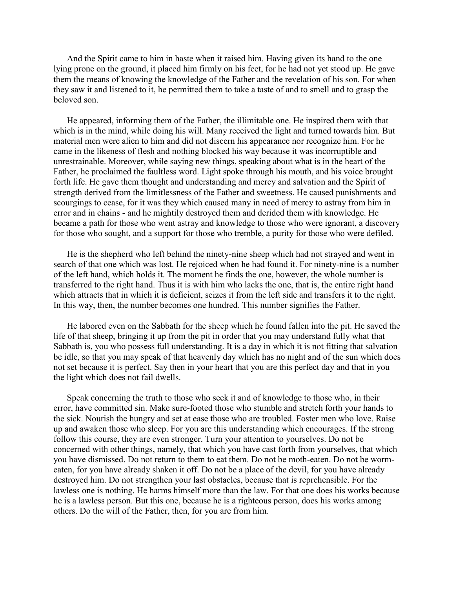And the Spirit came to him in haste when it raised him. Having given its hand to the one lying prone on the ground, it placed him firmly on his feet, for he had not yet stood up. He gave them the means of knowing the knowledge of the Father and the revelation of his son. For when they saw it and listened to it, he permitted them to take a taste of and to smell and to grasp the beloved son.

He appeared, informing them of the Father, the illimitable one. He inspired them with that which is in the mind, while doing his will. Many received the light and turned towards him. But material men were alien to him and did not discern his appearance nor recognize him. For he came in the likeness of flesh and nothing blocked his way because it was incorruptible and unrestrainable. Moreover, while saying new things, speaking about what is in the heart of the Father, he proclaimed the faultless word. Light spoke through his mouth, and his voice brought forth life. He gave them thought and understanding and mercy and salvation and the Spirit of strength derived from the limitlessness of the Father and sweetness. He caused punishments and scourgings to cease, for it was they which caused many in need of mercy to astray from him in error and in chains - and he mightily destroyed them and derided them with knowledge. He became a path for those who went astray and knowledge to those who were ignorant, a discovery for those who sought, and a support for those who tremble, a purity for those who were defiled.

He is the shepherd who left behind the ninety-nine sheep which had not strayed and went in search of that one which was lost. He rejoiced when he had found it. For ninety-nine is a number of the left hand, which holds it. The moment he finds the one, however, the whole number is transferred to the right hand. Thus it is with him who lacks the one, that is, the entire right hand which attracts that in which it is deficient, seizes it from the left side and transfers it to the right. In this way, then, the number becomes one hundred. This number signifies the Father.

He labored even on the Sabbath for the sheep which he found fallen into the pit. He saved the life of that sheep, bringing it up from the pit in order that you may understand fully what that Sabbath is, you who possess full understanding. It is a day in which it is not fitting that salvation be idle, so that you may speak of that heavenly day which has no night and of the sun which does not set because it is perfect. Say then in your heart that you are this perfect day and that in you the light which does not fail dwells.

Speak concerning the truth to those who seek it and of knowledge to those who, in their error, have committed sin. Make sure-footed those who stumble and stretch forth your hands to the sick. Nourish the hungry and set at ease those who are troubled. Foster men who love. Raise up and awaken those who sleep. For you are this understanding which encourages. If the strong follow this course, they are even stronger. Turn your attention to yourselves. Do not be concerned with other things, namely, that which you have cast forth from yourselves, that which you have dismissed. Do not return to them to eat them. Do not be moth-eaten. Do not be wormeaten, for you have already shaken it off. Do not be a place of the devil, for you have already destroyed him. Do not strengthen your last obstacles, because that is reprehensible. For the lawless one is nothing. He harms himself more than the law. For that one does his works because he is a lawless person. But this one, because he is a righteous person, does his works among others. Do the will of the Father, then, for you are from him.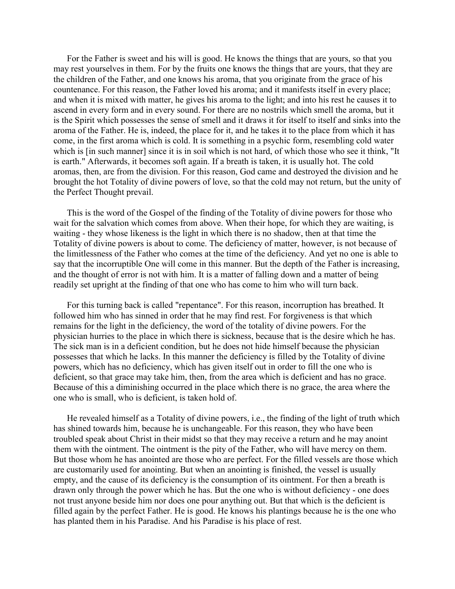For the Father is sweet and his will is good. He knows the things that are yours, so that you may rest yourselves in them. For by the fruits one knows the things that are yours, that they are the children of the Father, and one knows his aroma, that you originate from the grace of his countenance. For this reason, the Father loved his aroma; and it manifests itself in every place; and when it is mixed with matter, he gives his aroma to the light; and into his rest he causes it to ascend in every form and in every sound. For there are no nostrils which smell the aroma, but it is the Spirit which possesses the sense of smell and it draws it for itself to itself and sinks into the aroma of the Father. He is, indeed, the place for it, and he takes it to the place from which it has come, in the first aroma which is cold. It is something in a psychic form, resembling cold water which is [in such manner] since it is in soil which is not hard, of which those who see it think, "It is earth." Afterwards, it becomes soft again. If a breath is taken, it is usually hot. The cold aromas, then, are from the division. For this reason, God came and destroyed the division and he brought the hot Totality of divine powers of love, so that the cold may not return, but the unity of the Perfect Thought prevail.

This is the word of the Gospel of the finding of the Totality of divine powers for those who wait for the salvation which comes from above. When their hope, for which they are waiting, is waiting - they whose likeness is the light in which there is no shadow, then at that time the Totality of divine powers is about to come. The deficiency of matter, however, is not because of the limitlessness of the Father who comes at the time of the deficiency. And yet no one is able to say that the incorruptible One will come in this manner. But the depth of the Father is increasing, and the thought of error is not with him. It is a matter of falling down and a matter of being readily set upright at the finding of that one who has come to him who will turn back.

For this turning back is called "repentance". For this reason, incorruption has breathed. It followed him who has sinned in order that he may find rest. For forgiveness is that which remains for the light in the deficiency, the word of the totality of divine powers. For the physician hurries to the place in which there is sickness, because that is the desire which he has. The sick man is in a deficient condition, but he does not hide himself because the physician possesses that which he lacks. In this manner the deficiency is filled by the Totality of divine powers, which has no deficiency, which has given itself out in order to fill the one who is deficient, so that grace may take him, then, from the area which is deficient and has no grace. Because of this a diminishing occurred in the place which there is no grace, the area where the one who is small, who is deficient, is taken hold of.

He revealed himself as a Totality of divine powers, i.e., the finding of the light of truth which has shined towards him, because he is unchangeable. For this reason, they who have been troubled speak about Christ in their midst so that they may receive a return and he may anoint them with the ointment. The ointment is the pity of the Father, who will have mercy on them. But those whom he has anointed are those who are perfect. For the filled vessels are those which are customarily used for anointing. But when an anointing is finished, the vessel is usually empty, and the cause of its deficiency is the consumption of its ointment. For then a breath is drawn only through the power which he has. But the one who is without deficiency - one does not trust anyone beside him nor does one pour anything out. But that which is the deficient is filled again by the perfect Father. He is good. He knows his plantings because he is the one who has planted them in his Paradise. And his Paradise is his place of rest.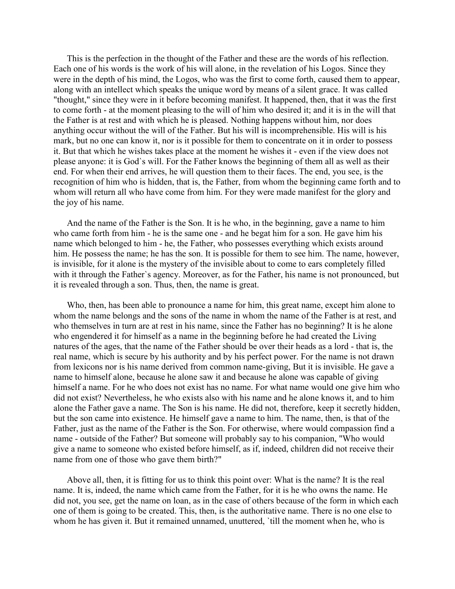This is the perfection in the thought of the Father and these are the words of his reflection. Each one of his words is the work of his will alone, in the revelation of his Logos. Since they were in the depth of his mind, the Logos, who was the first to come forth, caused them to appear, along with an intellect which speaks the unique word by means of a silent grace. It was called "thought," since they were in it before becoming manifest. It happened, then, that it was the first to come forth - at the moment pleasing to the will of him who desired it; and it is in the will that the Father is at rest and with which he is pleased. Nothing happens without him, nor does anything occur without the will of the Father. But his will is incomprehensible. His will is his mark, but no one can know it, nor is it possible for them to concentrate on it in order to possess it. But that which he wishes takes place at the moment he wishes it - even if the view does not please anyone: it is God`s will. For the Father knows the beginning of them all as well as their end. For when their end arrives, he will question them to their faces. The end, you see, is the recognition of him who is hidden, that is, the Father, from whom the beginning came forth and to whom will return all who have come from him. For they were made manifest for the glory and the joy of his name.

And the name of the Father is the Son. It is he who, in the beginning, gave a name to him who came forth from him - he is the same one - and he begat him for a son. He gave him his name which belonged to him - he, the Father, who possesses everything which exists around him. He possess the name; he has the son. It is possible for them to see him. The name, however, is invisible, for it alone is the mystery of the invisible about to come to ears completely filled with it through the Father's agency. Moreover, as for the Father, his name is not pronounced, but it is revealed through a son. Thus, then, the name is great.

Who, then, has been able to pronounce a name for him, this great name, except him alone to whom the name belongs and the sons of the name in whom the name of the Father is at rest, and who themselves in turn are at rest in his name, since the Father has no beginning? It is he alone who engendered it for himself as a name in the beginning before he had created the Living natures of the ages, that the name of the Father should be over their heads as a lord - that is, the real name, which is secure by his authority and by his perfect power. For the name is not drawn from lexicons nor is his name derived from common name-giving, But it is invisible. He gave a name to himself alone, because he alone saw it and because he alone was capable of giving himself a name. For he who does not exist has no name. For what name would one give him who did not exist? Nevertheless, he who exists also with his name and he alone knows it, and to him alone the Father gave a name. The Son is his name. He did not, therefore, keep it secretly hidden, but the son came into existence. He himself gave a name to him. The name, then, is that of the Father, just as the name of the Father is the Son. For otherwise, where would compassion find a name - outside of the Father? But someone will probably say to his companion, "Who would give a name to someone who existed before himself, as if, indeed, children did not receive their name from one of those who gave them birth?"

Above all, then, it is fitting for us to think this point over: What is the name? It is the real name. It is, indeed, the name which came from the Father, for it is he who owns the name. He did not, you see, get the name on loan, as in the case of others because of the form in which each one of them is going to be created. This, then, is the authoritative name. There is no one else to whom he has given it. But it remained unnamed, unuttered, 'till the moment when he, who is